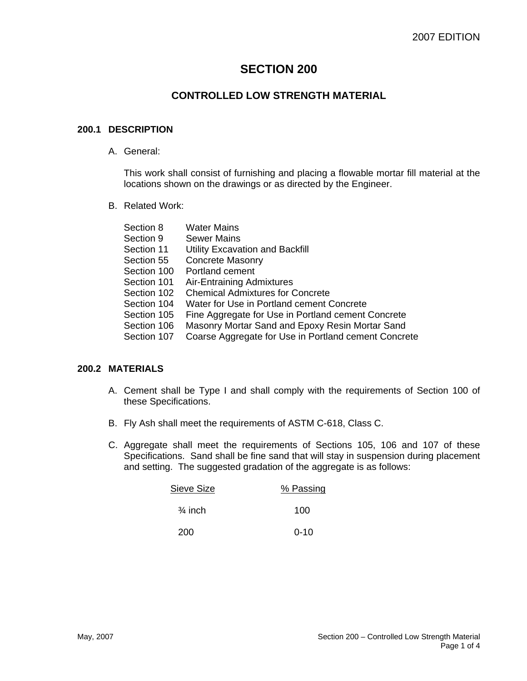# **SECTION 200**

## **CONTROLLED LOW STRENGTH MATERIAL**

#### **200.1 DESCRIPTION**

A. General:

This work shall consist of furnishing and placing a flowable mortar fill material at the locations shown on the drawings or as directed by the Engineer.

B. Related Work:

| Section 8   | <b>Water Mains</b>                                   |
|-------------|------------------------------------------------------|
| Section 9   | <b>Sewer Mains</b>                                   |
| Section 11  | Utility Excavation and Backfill                      |
| Section 55  | <b>Concrete Masonry</b>                              |
| Section 100 | Portland cement                                      |
| Section 101 | Air-Entraining Admixtures                            |
| Section 102 | <b>Chemical Admixtures for Concrete</b>              |
| Section 104 | Water for Use in Portland cement Concrete            |
| Section 105 | Fine Aggregate for Use in Portland cement Concrete   |
| Section 106 | Masonry Mortar Sand and Epoxy Resin Mortar Sand      |
| Section 107 | Coarse Aggregate for Use in Portland cement Concrete |

## **200.2 MATERIALS**

- A. Cement shall be Type I and shall comply with the requirements of Section 100 of these Specifications.
- B. Fly Ash shall meet the requirements of ASTM C-618, Class C.
- C. Aggregate shall meet the requirements of Sections 105, 106 and 107 of these Specifications. Sand shall be fine sand that will stay in suspension during placement and setting. The suggested gradation of the aggregate is as follows:

| Sieve Size         | % Passing |
|--------------------|-----------|
| $\frac{3}{4}$ inch | 100       |
| 200                | $0 - 10$  |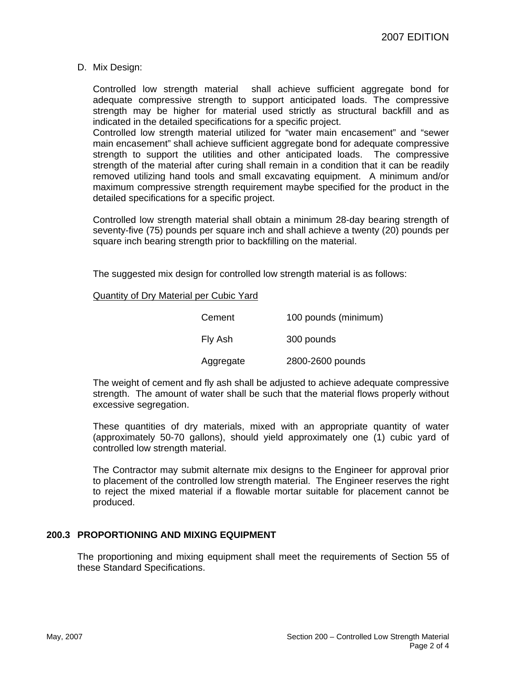D. Mix Design:

Controlled low strength material shall achieve sufficient aggregate bond for adequate compressive strength to support anticipated loads. The compressive strength may be higher for material used strictly as structural backfill and as indicated in the detailed specifications for a specific project.

Controlled low strength material utilized for "water main encasement" and "sewer main encasement" shall achieve sufficient aggregate bond for adequate compressive strength to support the utilities and other anticipated loads. The compressive strength of the material after curing shall remain in a condition that it can be readily removed utilizing hand tools and small excavating equipment. A minimum and/or maximum compressive strength requirement maybe specified for the product in the detailed specifications for a specific project.

Controlled low strength material shall obtain a minimum 28-day bearing strength of seventy-five (75) pounds per square inch and shall achieve a twenty (20) pounds per square inch bearing strength prior to backfilling on the material.

The suggested mix design for controlled low strength material is as follows:

Quantity of Dry Material per Cubic Yard

| Cement    | 100 pounds (minimum) |
|-----------|----------------------|
| Fly Ash   | 300 pounds           |
| Aggregate | 2800-2600 pounds     |

The weight of cement and fly ash shall be adjusted to achieve adequate compressive strength. The amount of water shall be such that the material flows properly without excessive segregation.

These quantities of dry materials, mixed with an appropriate quantity of water (approximately 50-70 gallons), should yield approximately one (1) cubic yard of controlled low strength material.

The Contractor may submit alternate mix designs to the Engineer for approval prior to placement of the controlled low strength material. The Engineer reserves the right to reject the mixed material if a flowable mortar suitable for placement cannot be produced.

## **200.3 PROPORTIONING AND MIXING EQUIPMENT**

The proportioning and mixing equipment shall meet the requirements of Section 55 of these Standard Specifications.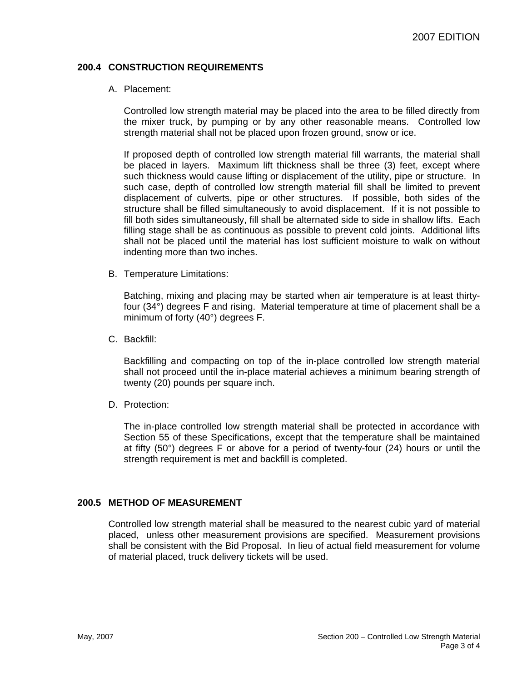## **200.4 CONSTRUCTION REQUIREMENTS**

#### A. Placement:

Controlled low strength material may be placed into the area to be filled directly from the mixer truck, by pumping or by any other reasonable means. Controlled low strength material shall not be placed upon frozen ground, snow or ice.

If proposed depth of controlled low strength material fill warrants, the material shall be placed in layers. Maximum lift thickness shall be three (3) feet, except where such thickness would cause lifting or displacement of the utility, pipe or structure. In such case, depth of controlled low strength material fill shall be limited to prevent displacement of culverts, pipe or other structures. If possible, both sides of the structure shall be filled simultaneously to avoid displacement. If it is not possible to fill both sides simultaneously, fill shall be alternated side to side in shallow lifts. Each filling stage shall be as continuous as possible to prevent cold joints. Additional lifts shall not be placed until the material has lost sufficient moisture to walk on without indenting more than two inches.

B. Temperature Limitations:

Batching, mixing and placing may be started when air temperature is at least thirtyfour (34°) degrees F and rising. Material temperature at time of placement shall be a minimum of forty (40°) degrees F.

C. Backfill:

Backfilling and compacting on top of the in-place controlled low strength material shall not proceed until the in-place material achieves a minimum bearing strength of twenty (20) pounds per square inch.

D. Protection:

The in-place controlled low strength material shall be protected in accordance with Section 55 of these Specifications, except that the temperature shall be maintained at fifty (50°) degrees F or above for a period of twenty-four (24) hours or until the strength requirement is met and backfill is completed.

#### **200.5 METHOD OF MEASUREMENT**

Controlled low strength material shall be measured to the nearest cubic yard of material placed, unless other measurement provisions are specified. Measurement provisions shall be consistent with the Bid Proposal. In lieu of actual field measurement for volume of material placed, truck delivery tickets will be used.